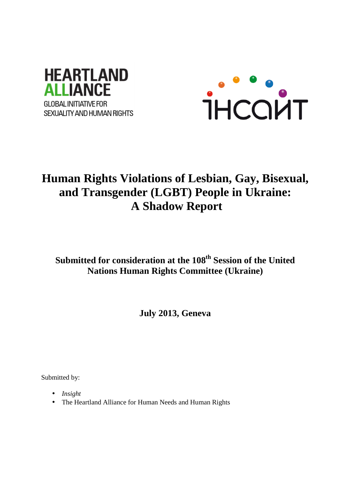



# **Human Rights Violations of Lesbian, Gay, Bisexual, and Transgender (LGBT) People in Ukraine: A Shadow Report**

**Submitted for consideration at the 108th Session of the United Nations Human Rights Committee (Ukraine)** 

**July 2013, Geneva** 

Submitted by:

- *Insight*
- The Heartland Alliance for Human Needs and Human Rights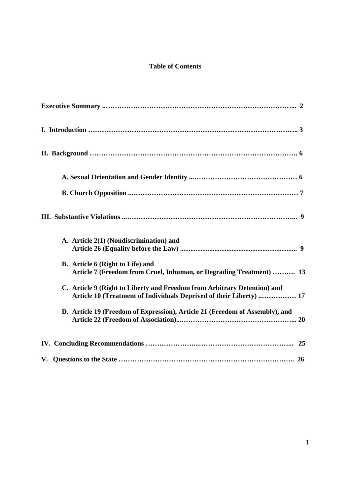# **Table of Contents**

| A. Article 2(1) (Nondiscrimination) and                                                                                                         |
|-------------------------------------------------------------------------------------------------------------------------------------------------|
| B. Article 6 (Right to Life) and<br>Article 7 (Freedom from Cruel, Inhuman, or Degrading Treatment)  13                                         |
| C. Article 9 (Right to Liberty and Freedom from Arbitrary Detention) and<br>Article 10 (Treatment of Individuals Deprived of their Liberty)  17 |
| D. Article 19 (Freedom of Expression), Article 21 (Freedom of Assembly), and                                                                    |
|                                                                                                                                                 |
|                                                                                                                                                 |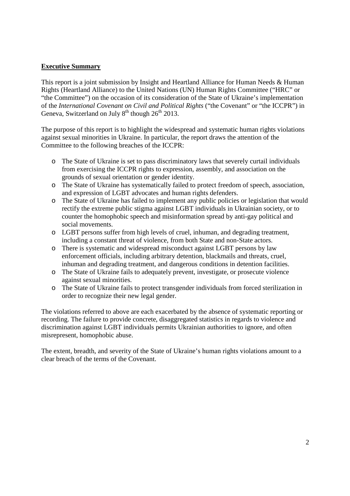#### **Executive Summary**

This report is a joint submission by Insight and Heartland Alliance for Human Needs & Human Rights (Heartland Alliance) to the United Nations (UN) Human Rights Committee ("HRC" or "the Committee") on the occasion of its consideration of the State of Ukraine's implementation of the *International Covenant on Civil and Political Rights* ("the Covenant" or "the ICCPR") in Geneva, Switzerland on July  $8<sup>th</sup>$  though 26<sup>th</sup> 2013.

The purpose of this report is to highlight the widespread and systematic human rights violations against sexual minorities in Ukraine. In particular, the report draws the attention of the Committee to the following breaches of the ICCPR:

- o The State of Ukraine is set to pass discriminatory laws that severely curtail individuals from exercising the ICCPR rights to expression, assembly, and association on the grounds of sexual orientation or gender identity.
- o The State of Ukraine has systematically failed to protect freedom of speech, association, and expression of LGBT advocates and human rights defenders.
- o The State of Ukraine has failed to implement any public policies or legislation that would rectify the extreme public stigma against LGBT individuals in Ukrainian society, or to counter the homophobic speech and misinformation spread by anti-gay political and social movements.
- o LGBT persons suffer from high levels of cruel, inhuman, and degrading treatment, including a constant threat of violence, from both State and non-State actors.
- o There is systematic and widespread misconduct against LGBT persons by law enforcement officials, including arbitrary detention, blackmails and threats, cruel, inhuman and degrading treatment, and dangerous conditions in detention facilities.
- o The State of Ukraine fails to adequately prevent, investigate, or prosecute violence against sexual minorities.
- o The State of Ukraine fails to protect transgender individuals from forced sterilization in order to recognize their new legal gender.

The violations referred to above are each exacerbated by the absence of systematic reporting or recording. The failure to provide concrete, disaggregated statistics in regards to violence and discrimination against LGBT individuals permits Ukrainian authorities to ignore, and often misrepresent, homophobic abuse.

The extent, breadth, and severity of the State of Ukraine's human rights violations amount to a clear breach of the terms of the Covenant.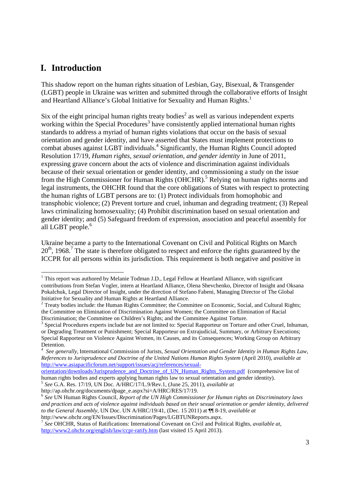# **I. Introduction**

-

This shadow report on the human rights situation of Lesbian, Gay, Bisexual, & Transgender (LGBT) people in Ukraine was written and submitted through the collaborative efforts of Insight and Heartland Alliance's Global Initiative for Sexuality and Human Rights.<sup>1</sup>

Six of the eight principal human rights treaty bodies<sup>2</sup> as well as various independent experts working within the Special Procedures<sup>3</sup> have consistently applied international human rights standards to address a myriad of human rights violations that occur on the basis of sexual orientation and gender identity, and have asserted that States must implement protections to combat abuses against LGBT individuals.<sup>4</sup> Significantly, the Human Rights Council adopted Resolution 17/19, *Human rights, sexual orientation, and gender identity* in June of 2011, expressing grave concern about the acts of violence and discrimination against individuals because of their sexual orientation or gender identity, and commissioning a study on the issue from the High Commissioner for Human Rights (OHCHR).<sup>5</sup> Relying on human rights norms and legal instruments, the OHCHR found that the core obligations of States with respect to protecting the human rights of LGBT persons are to: (1) Protect individuals from homophobic and transphobic violence; (2) Prevent torture and cruel, inhuman and degrading treatment; (3) Repeal laws criminalizing homosexuality; (4) Prohibit discrimination based on sexual orientation and gender identity; and (5) Safeguard freedom of expression, association and peaceful assembly for all LGBT people.<sup>6</sup>

Ukraine became a party to the International Covenant on Civil and Political Rights on March 20<sup>th</sup>, 1968.<sup>7</sup> The state is therefore obligated to respect and enforce the rights guaranteed by the ICCPR for all persons within its jurisdiction. This requirement is both negative and positive in

<sup>&</sup>lt;sup>1</sup> This report was authored by Melanie Todman J.D., Legal Fellow at Heartland Alliance, with significant contributions from Stefan Vogler, intern at Heartland Alliance, Olena Shevchenko, Director of Insight and Oksana Pokalchuk, Legal Director of Insight, under the direction of Stefano Fabeni, Managing Director of The Global Initiative for Sexuality and Human Rights at Heartland Alliance.

<sup>&</sup>lt;sup>2</sup> Treaty bodies include: the Human Rights Committee; the Committee on Economic, Social, and Cultural Rights; the Committee on Elimination of Discrimination Against Women; the Committee on Elimination of Racial Discrimination; the Committee on Children's Rights; and the Committee Against Torture.

<sup>&</sup>lt;sup>3</sup> Special Procedures experts include but are not limited to: Special Rapporteur on Torture and other Cruel, Inhuman, or Degrading Treatment or Punishment; Special Rapporteur on Extrajudicial, Summary, or Arbitrary Executions; Special Rapporteur on Violence Against Women, its Causes, and its Consequences; Working Group on Arbitrary Detention.

<sup>4</sup> *See generally,* International Commission of Jurists, *Sexual Orientation and Gender Identity in Human Rights Law, References to Jurisprudence and Doctrine of the United Nations Human Rights System* (April 2010), *available at*  http://www.asiapacificforum.net/support/issues/acj/references/sexual-

orientation/downloads/Jurisprudence\_and\_Doctrine\_of\_UN\_Human\_Rights\_System.pdf (comprehensive list of human rights bodies and experts applying human rights law to sexual orientation and gender identity). 5 *See* G.A. Res. 17/19, UN Doc. A/HRC/17/L.9/Rev.1, (June 25, 2011), *available at*

http://ap.ohchr.org/documents/dpage\_e.aspx?si=A/HRC/RES/17/19.

<sup>6</sup> *See* UN Human Rights Council, *Report of the UN High Commissioner for Human rights on Discriminatory laws and practices and acts of violence against individuals based on their sexual orientation or gender identity, delivered to the General Assembly,* UN Doc. UN A/HRC/19/41, (Dec. 15 2011) at ¶¶ 8-19, *available at* http://www.ohchr.org/EN/Issues/Discrimination/Pages/LGBTUNReports.aspx.

<sup>7</sup> *See* OHCHR, Status of Ratifications: International Covenant on Civil and Political Rights, *available at*, http://www2.ohchr.org/english/law/ccpr-ratify.htm (last visited 15 April 2013).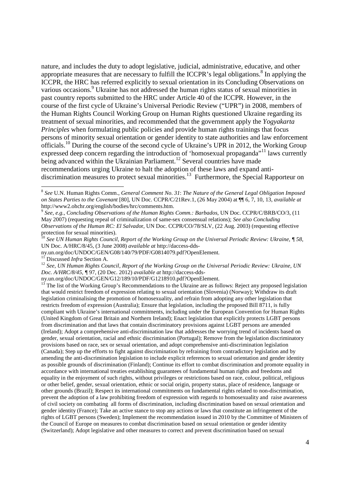nature, and includes the duty to adopt legislative, judicial, administrative, educative, and other appropriate measures that are necessary to fulfill the ICCPR's legal obligations.<sup>8</sup> In applying the ICCPR, the HRC has referred explicitly to sexual orientation in its Concluding Observations on various occasions.<sup>9</sup> Ukraine has not addressed the human rights status of sexual minorities in past country reports submitted to the HRC under Article 40 of the ICCPR. However, in the course of the first cycle of Ukraine's Universal Periodic Review ("UPR") in 2008, members of the Human Rights Council Working Group on Human Rights questioned Ukraine regarding its treatment of sexual minorities, and recommended that the government apply the *Yogyakarta Principles* when formulating public policies and provide human rights trainings that focus persons of minority sexual orientation or gender identity to state authorities and law enforcement officials.<sup>10</sup> During the course of the second cycle of Ukraine's UPR in 2012, the Working Group expressed deep concern regarding the introduction of 'homosexual propaganda"<sup>11</sup> laws currently being advanced within the Ukrainian Parliament.<sup>12</sup> Several countries have made recommendations urging Ukraine to halt the adoption of these laws and expand antidiscrimination measures to protect sexual minorities.<sup>13</sup> Furthermore, the Special Rapporteur on

<sup>11</sup> Discussed *Infra* Section A.

<sup>8</sup> *See* U.N. Human Rights Comm., *General Comment No. 31*: *The Nature of the General Legal Obligation Imposed on States Parties to the Covenant* [80], UN Doc. CCPR/C/21Rev.1, (26 May 2004) at ¶¶ 6, 7, 10, 13, *available at* http://www2.ohchr.org/english/bodies/hrc/comments.htm.

<sup>9</sup> *See*, *e.g.*, *Concluding Observations of the Human Rights Comm.: Barbados*, UN Doc. CCPR/C/BRB/CO/3, (11 May 2007) (requesting repeal of criminalization of same-sex consensual relations); *See also Concluding Observations of the Human RC: El Salvado*r, UN Doc. CCPR/CO/78/SLV, (22 Aug. 2003) (requesting effective protection for sexual minorities).

<sup>10</sup> *See UN Human Rights Council, Report of the Working Group on the Universal Periodic Review: Ukraine, ¶ 58,*  UN Doc. A/HRC/8/45*,* (3 June 2008) *available at* http://daccess-dds-

ny.un.org/doc/UNDOC/GEN/G08/140/79/PDF/G0814079.pdf?OpenElement.

<sup>12</sup> *See, UN Human Rights Council, Report of the Working Group on the Universal Periodic Review: Ukraine, UN Doc. A/HRC/8/45, ¶* 97, (20 Dec. 2012) *available at* http://daccess-dds-

ny.un.org/doc/UNDOC/GEN/G12/189/10/PDF/G1218910.pdf?OpenElement.

<sup>&</sup>lt;sup>13</sup> The list of the Working Group's Recommendations to the Ukraine are as follows: Reject any proposed legislation that would restrict freedom of expression relating to sexual orientation (Slovenia) (Norway); Withdraw its draft legislation criminalising the promotion of homosexuality, and refrain from adopting any other legislation that restricts freedom of expression (Australia); Ensure that legislation, including the proposed Bill 8711, is fully compliant with Ukraine's international commitments, including under the European Convention for Human Rights (United Kingdom of Great Britain and Northern Ireland); Enact legislation that explicitly protects LGBT persons from discrimination and that laws that contain discriminatory provisions against LGBT persons are amended (Ireland); Adopt a comprehensive anti-discrimination law that addresses the worrying trend of incidents based on gender, sexual orientation, racial and ethnic discrimination (Portugal); Remove from the legislation discriminatory provisions based on race, sex or sexual orientation, and adopt comprehensive anti-discrimination legislation (Canada); Step up the efforts to fight against discrimination by refraining from contradictory legislation and by amending the anti-discrimination legislation to include explicit references to sexual orientation and gender identity as possible grounds of discrimination (Finland); Continue its effort to combat discrimination and promote equality in accordance with international treaties establishing guarantees of fundamental human rights and freedoms and equality in the enjoyment of such rights, without privileges or restrictions based on race, colour, political, religious or other belief, gender, sexual orientation, ethnic or social origin, property status, place of residence, language or other grounds (Brazil); Respect its international commitments on fundamental rights related to non-discrimination, prevent the adoption of a law prohibiting freedom of expression with regards to homosexuality and raise awareness of civil society on combating all forms of discrimination, including discrimination based on sexual orientation and gender identity (France); Take an active stance to stop any actions or laws that constitute an infringement of the rights of LGBT persons (Sweden); Implement the recommendation issued in 2010 by the Committee of Ministers of the Council of Europe on measures to combat discrimination based on sexual orientation or gender identity (Switzerland); Adopt legislative and other measures to correct and prevent discrimination based on sexual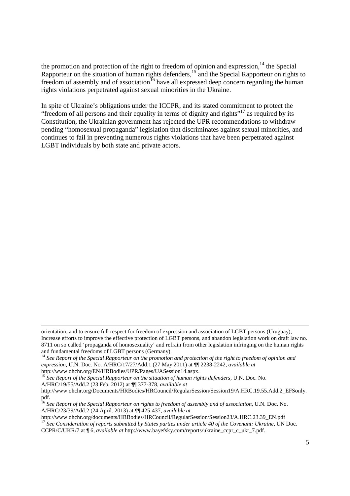the promotion and protection of the right to freedom of opinion and expression, $14$  the Special Rapporteur on the situation of human rights defenders,<sup>15</sup> and the Special Rapporteur on rights to freedom of assembly and of association<sup>16</sup> have all expressed deep concern regarding the human rights violations perpetrated against sexual minorities in the Ukraine.

In spite of Ukraine's obligations under the ICCPR, and its stated commitment to protect the "freedom of all persons and their equality in terms of dignity and rights"<sup>17</sup> as required by its Constitution, the Ukrainian government has rejected the UPR recommendations to withdraw pending "homosexual propaganda" legislation that discriminates against sexual minorities, and continues to fail in preventing numerous rights violations that have been perpetrated against LGBT individuals by both state and private actors.

-

<sup>15</sup> *See Report of the Special Rapporteur on the situation of human rights defenders,* U.N. Doc. No. A/HRC/19/55/Add.2 (23 Feb. 2012) at ¶¶ 377-378, *available at*

http://www.ohchr.org/documents/HRBodies/HRCouncil/RegularSession/Session23/A.HRC.23.39\_EN.pdf <sup>17</sup> *See Consideration of reports submitted by States parties under article 40 of the Covenant: Ukraine*, UN Doc.

CCPR/C/UKR/7 at ¶ 6, *available at* http://www.bayefsky.com/reports/ukraine\_ccpr\_c\_ukr\_7.pdf.

orientation, and to ensure full respect for freedom of expression and association of LGBT persons (Uruguay); Increase efforts to improve the effective protection of LGBT persons, and abandon legislation work on draft law no. 8711 on so called 'propaganda of homosexuality' and refrain from other legislation infringing on the human rights and fundamental freedoms of LGBT persons (Germany).

<sup>&</sup>lt;sup>14</sup> See Report of the Special Rapporteur on the promotion and protection of the right to freedom of opinion and *expression*, U.N. Doc. No. A/HRC/17/27/Add.1 (27 May 2011) at ¶¶ 2238-2242, *available at* http://www.ohchr.org/EN/HRBodies/UPR/Pages/UASession14.aspx.

http://www.ohchr.org/Documents/HRBodies/HRCouncil/RegularSession/Session19/A.HRC.19.55.Add.2\_EFSonly. pdf.

<sup>16</sup> *See Report of the Special Rapporteur on rights to freedom of assembly and of association,* U.N. Doc. No. A/HRC/23/39/Add.2 (24 April. 2013) at ¶¶ 425-437, *available at*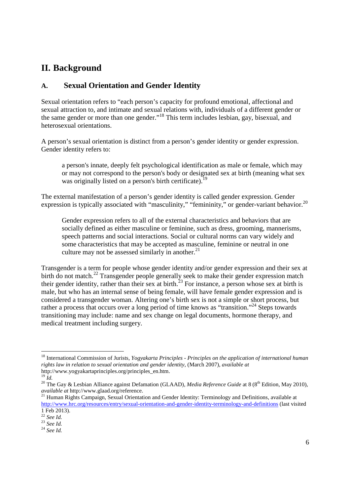# **II. Background**

## **A. Sexual Orientation and Gender Identity**

Sexual orientation refers to "each person's capacity for profound emotional, affectional and sexual attraction to, and intimate and sexual relations with, individuals of a different gender or the same gender or more than one gender."<sup>18</sup> This term includes lesbian, gay, bisexual, and heterosexual orientations.

A person's sexual orientation is distinct from a person's gender identity or gender expression. Gender identity refers to:

a person's innate, deeply felt psychological identification as male or female, which may or may not correspond to the person's body or designated sex at birth (meaning what sex was originally listed on a person's birth certificate).<sup>19</sup>

The external manifestation of a person's gender identity is called gender expression. Gender expression is typically associated with "masculinity," "femininity," or gender-variant behavior.<sup>20</sup>

Gender expression refers to all of the external characteristics and behaviors that are socially defined as either masculine or feminine, such as dress, grooming, mannerisms, speech patterns and social interactions. Social or cultural norms can vary widely and some characteristics that may be accepted as masculine, feminine or neutral in one culture may not be assessed similarly in another. $^{21}$ 

Transgender is a term for people whose gender identity and/or gender expression and their sex at birth do not match.<sup>22</sup> Transgender people generally seek to make their gender expression match their gender identity, rather than their sex at birth.<sup>23</sup> For instance, a person whose sex at birth is male, but who has an internal sense of being female, will have female gender expression and is considered a transgender woman. Altering one's birth sex is not a simple or short process, but rather a process that occurs over a long period of time knows as "transition."<sup>24</sup> Steps towards transitioning may include: name and sex change on legal documents, hormone therapy, and medical treatment including surgery.

<sup>18</sup> International Commission of Jurists, *Yogyakarta Principles - Principles on the application of international human rights law in relation to sexual orientation and gender identity*, (March 2007), *available at* http://www.yogyakartaprinciples.org/principles\_en.htm.

 $^{19}$  *Id.* 

<sup>&</sup>lt;sup>20</sup> The Gay & Lesbian Alliance against Defamation (GLAAD), *Media Reference Guide* at 8 (8<sup>th</sup> Edition, May 2010), *available at* http://www.glaad.org/reference.

<sup>&</sup>lt;sup>21</sup> Human Rights Campaign, Sexual Orientation and Gender Identity: Terminology and Definitions, available at http://www.hrc.org/resources/entry/sexual-orientation-and-gender-identity-terminology-and-definitions (last visited 1 Feb 2013).

<sup>22</sup> *See Id.*

<sup>23</sup> *See Id.*

<sup>24</sup> *See Id.*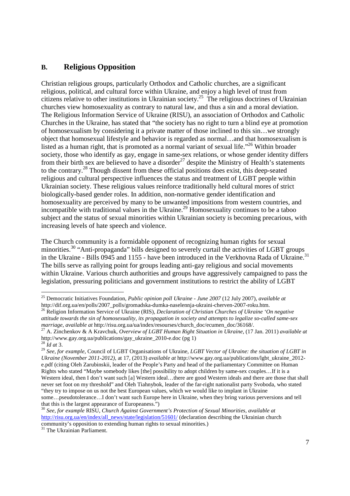### **B. Religious Opposition**

Christian religious groups, particularly Orthodox and Catholic churches, are a significant religious, political, and cultural force within Ukraine, and enjoy a high level of trust from citizens relative to other institutions in Ukrainian society.<sup>25</sup> The religious doctrines of Ukrainian churches view homosexuality as contrary to natural law, and thus a sin and a moral deviation. The Religious Information Service of Ukraine (RISU), an association of Orthodox and Catholic Churches in the Ukraine, has stated that "the society has no right to turn a blind eye at promotion of homosexualism by considering it a private matter of those inclined to this sin…we strongly object that homosexual lifestyle and behavior is regarded as normal…and that homosexualism is listed as a human right, that is promoted as a normal variant of sexual life."<sup>26</sup> Within broader society, those who identify as gay, engage in same-sex relations, or whose gender identity differs from their birth sex are believed to have a disorder<sup>27</sup> despite the Ministry of Health's statements to the contrary.<sup>28</sup> Though dissent from these official positions does exist, this deep-seated religious and cultural perspective influences the status and treatment of LGBT people within Ukrainian society. These religious values reinforce traditionally held cultural mores of strict biologically-based gender roles. In addition, non-normative gender identification and homosexuality are perceived by many to be unwanted impositions from western countries, and incompatible with traditional values in the Ukraine. <sup>29</sup> Homosexuality continues to be a taboo subject and the status of sexual minorities within Ukrainian society is becoming precarious, with increasing levels of hate speech and violence.

The Church community is a formidable opponent of recognizing human rights for sexual minorities.<sup>30</sup> "Anti-propaganda" bills designed to severely curtail the activities of LGBT groups in the Ukraine - Bills  $\overline{0945}$  and  $1155$  - have been introduced in the Verkhovna Rada of Ukraine.<sup>31</sup> The bills serve as rallying point for groups leading anti-gay religious and social movements within Ukraine. Various church authorities and groups have aggressively campaigned to pass the legislation, pressuring politicians and government institutions to restrict the ability of LGBT

<sup>25</sup> Democratic Initiatives Foundation, *Public opinion poll Ukraine - June 2007* (12 July 2007), *available at* http://dif.org.ua/en/polls/2007\_polls/gromadska-dumka-naselennja-ukraini-cherven-2007-roku.htm.

<sup>26</sup> Religion Information Service of Ukraine (RIS), *Declaration of Christian Churches of Ukraine 'On negative attitude towards the sin of homosexuality, its propagation in society and attempts to legalize so-called same-sex marriage*, *available at* http://risu.org.ua/ua/index/resourses/church\_doc/ecumen\_doc/36168/.

<sup>27</sup> A. Zinchenkov & A Kravchuk, *Overview of LGBT Human Right Situation in Ukraine*, (17 Jan. 2011) *available at*  http://www.gay.org.ua/publications/gay\_ukraine\_2010-e.doc (pg 1) <sup>28</sup> *Id at* 3.

<sup>29</sup> *See, for example*, Council of LGBT Organisations of Ukraine, *LGBT Vector of Ukraine: the situation of LGBT in Ukraine (November 2011-2012)*, at 17, (2013) *available at* http://www.gay.org.ua/publications/lgbt\_ukraine\_2012 e.pdf (citing Oleh Zarubinskii, leader of the People's Party and head of the parliamentary Committee on Human Rights who stated "Maybe somebody likes [the] possibility to adopt children by same-sex couples…If it is a Western ideal, then I don't want such [a] Western ideal…there are good Western ideals and there are those that shall never set foot on my threshold" and Oleh Tiahnybok, leader of the far-right nationalist party Svoboda, who stated "they try to impose on us not the best European values, which we would like to implant in Ukraine some…pseudotolerance…I don't want such Europe here in Ukraine, when they bring various perversions and tell that this is the largest appearance of Europeaness.")

<sup>30</sup> *See, for example* RISU, *Church Against Government's Protection of Sexual Minorities*, *available at*  http://risu.org.ua/en/index/all\_news/state/legislation/51601/ (declaration describing the Ukrainian church community's opposition to extending human rights to sexual minorities.)

<sup>&</sup>lt;sup>31</sup> The Ukrainian Parliament.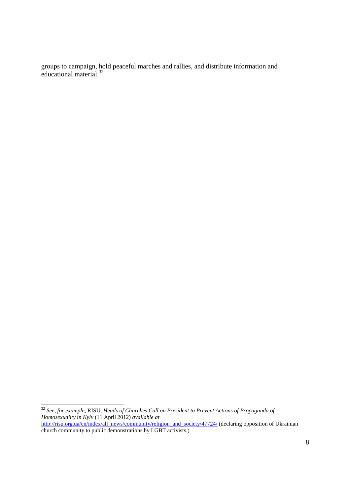groups to campaign, hold peaceful marches and rallies, and distribute information and educational material.<sup>32</sup>

<sup>32</sup> *See, for example*, RISU, *Heads of Churches Call on President to Prevent Actions of Propaganda of Homosexuality in Kyiv* (11 April 2012) *available at*  http://risu.org.ua/en/index/all\_news/community/religion\_and\_society/47724/ (declaring opposition of Ukrainian church community to public demonstrations by LGBT activists.)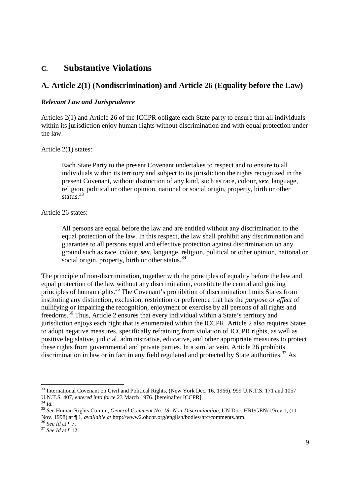# **C. Substantive Violations**

# **A. Article 2(1) (Nondiscrimination) and Article 26 (Equality before the Law)**

#### *Relevant Law and Jurisprudence*

Articles 2(1) and Article 26 of the ICCPR obligate each State party to ensure that all individuals within its jurisdiction enjoy human rights without discrimination and with equal protection under the law.

Article 2(1) states:

Each State Party to the present Covenant undertakes to respect and to ensure to all individuals within its territory and subject to its jurisdiction the rights recognized in the present Covenant, without distinction of any kind, such as race, colour, *sex*, language, religion, political or other opinion, national or social origin, property, birth or other status.<sup>33</sup>

Article 26 states:

All persons are equal before the law and are entitled without any discrimination to the equal protection of the law. In this respect, the law shall prohibit any discrimination and guarantee to all persons equal and effective protection against discrimination on any ground such as race, colour, *sex*, language, religion, political or other opinion, national or social origin, property, birth or other status.<sup>34</sup>

The principle of non-discrimination, together with the principles of equality before the law and equal protection of the law without any discrimination, constitute the central and guiding principles of human rights.<sup>35</sup> The Covenant's prohibition of discrimination limits States from instituting any distinction, exclusion, restriction or preference that has the *purpose or effect* of nullifying or impairing the recognition, enjoyment or exercise by all persons of all rights and freedoms.<sup>36</sup> Thus, Article 2 ensures that every individual within a State's territory and jurisdiction enjoys each right that is enumerated within the ICCPR. Article 2 also requires States to adopt negative measures, specifically refraining from violation of ICCPR rights, as well as positive legislative, judicial, administrative, educative, and other appropriate measures to protect these rights from governmental and private parties. In a similar vein, Article 26 prohibits discrimination in law or in fact in any field regulated and protected by State authorities.<sup>37</sup> As

<sup>37</sup> *See Id* at ¶ 12.

<sup>-</sup><sup>33</sup> International Covenant on Civil and Political Rights, (New York Dec. 16, 1966), 999 U.N.T.S. 171 and 1057 U.N.T.S. 407, *entered into force* 23 March 1976. [hereinafter ICCPR].

<sup>34</sup> *Id.* 

<sup>35</sup> *See* Human Rights Comm., *General Comment No. 18: Non-Discrimination*, UN Doc. HRI/GEN/1/Rev.1, (11 Nov. 1998) at ¶ 1, *available at* http://www2.ohchr.org/english/bodies/hrc/comments.htm. <sup>36</sup> *See Id* at ¶ 7.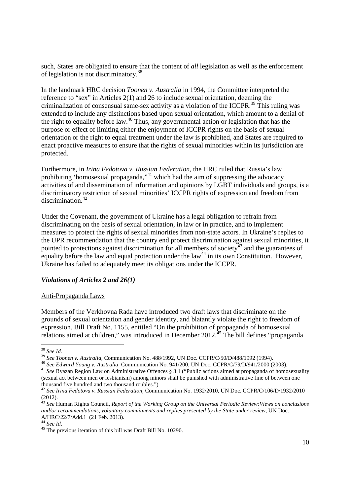such, States are obligated to ensure that the content of *all* legislation as well as the enforcement of legislation is not discriminatory.<sup>38</sup>

In the landmark HRC decision *Toonen v. Australia* in 1994, the Committee interpreted the reference to "sex" in Articles 2(1) and 26 to include sexual orientation, deeming the criminalization of consensual same-sex activity as a violation of the ICCPR.<sup>39</sup> This ruling was extended to include any distinctions based upon sexual orientation, which amount to a denial of the right to equality before law.<sup>40</sup> Thus, any governmental action or legislation that has the purpose or effect of limiting either the enjoyment of ICCPR rights on the basis of sexual orientation or the right to equal treatment under the law is prohibited, and States are required to enact proactive measures to ensure that the rights of sexual minorities within its jurisdiction are protected.

Furthermore, in *Irina Fedotova v. Russian Federation,* the HRC ruled that Russia's law prohibiting 'homosexual propaganda, $1$ <sup>41</sup> which had the aim of suppressing the advocacy activities of and dissemination of information and opinions by LGBT individuals and groups, is a discriminatory restriction of sexual minorities' ICCPR rights of expression and freedom from discrimination.<sup>42</sup>

Under the Covenant, the government of Ukraine has a legal obligation to refrain from discriminating on the basis of sexual orientation, in law or in practice, and to implement measures to protect the rights of sexual minorities from non-state actors. In Ukraine's replies to the UPR recommendation that the country end protect discrimination against sexual minorities, it pointed to protections against discrimination for all members of society<sup>43</sup> and the guarantees of equality before the law and equal protection under the law<sup>44</sup> in its own Constitution. However, Ukraine has failed to adequately meet its obligations under the ICCPR.

#### *Violations of Articles 2 and 26(1)*

#### Anti-Propaganda Laws

Members of the Verkhovna Rada have introduced two draft laws that discriminate on the grounds of sexual orientation and gender identity, and blatantly violate the right to freedom of expression. Bill Draft No. 1155, entitled "On the prohibition of propaganda of homosexual relations aimed at children," was introduced in December  $2012<sup>35</sup>$  The bill defines "propaganda

<sup>40</sup> *See Edward Young v. Australia*, Communication No. 941/200, UN Doc. CCPR/C/79/D/941/2000 (2003).

<sup>-</sup><sup>38</sup> *See Id*.

<sup>39</sup> *See Toonen v. Australia*, Communication No. 488/1992, UN Doc. CCPR/C/50/D/488/1992 (1994).

<sup>&</sup>lt;sup>41</sup> See Ryazan Region Law on Administrative Offences § 3.1 ("Public actions aimed at propaganda of homosexuality (sexual act between men or lesbianism) among minors shall be punished with administrative fine of between one thousand five hundred and two thousand roubles.")

<sup>42</sup> *See Irina Fedotova v. Russian Federation,* Communication No. 1932/2010, UN Doc. CCPR/C/106/D/1932/2010  $(2012)$ .

<sup>43</sup> *See* Human Rights Council, *Report of the Working Group on the Universal Periodic Review:Views on conclusions and/or recommendations, voluntary commitments and replies presented by the State under review,* UN Doc. A/HRC/22/7/Add.1 (21 Feb. 2013).

<sup>44</sup> *See Id*.

<sup>&</sup>lt;sup>45</sup> The previous iteration of this bill was Draft Bill No. 10290.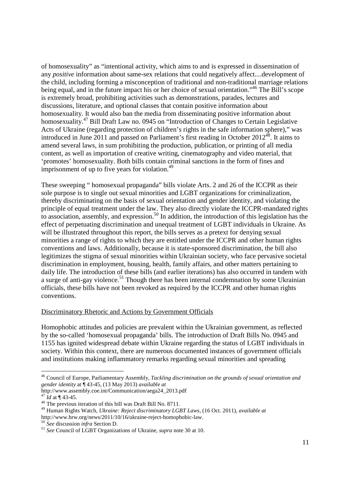of homosexuality" as "intentional activity, which aims to and is expressed in dissemination of any *positive* information about same-sex relations that could negatively affect....development of the child, including forming a misconception of traditional and non-traditional marriage relations being equal, and in the future impact his or her choice of sexual orientation."<sup>46</sup> The Bill's scope is extremely broad, prohibiting activities such as demonstrations, parades, lectures and discussions, literature, and optional classes that contain positive information about homosexuality. It would also ban the media from disseminating positive information about homosexuality.<sup>47</sup> Bill Draft Law no. 0945 on "Introduction of Changes to Certain Legislative Acts of Ukraine (regarding protection of children's rights in the safe information sphere)," was introduced in June 2011 and passed on Parliament's first reading in October  $2012^{48}$ . It aims to amend several laws, in sum prohibiting the production, publication, or printing of all media content, as well as importation of creative writing, cinematography and video material, that 'promotes' homosexuality. Both bills contain criminal sanctions in the form of fines and imprisonment of up to five years for violation.<sup>49</sup>

These sweeping " homosexual propaganda" bills violate Arts. 2 and 26 of the ICCPR as their sole purpose is to single out sexual minorities and LGBT organizations for criminalization, thereby discriminating on the basis of sexual orientation and gender identity, and violating the principle of equal treatment under the law. They also directly violate the ICCPR-mandated rights to association, assembly, and expression.<sup>50</sup> In addition, the introduction of this legislation has the effect of perpetuating discrimination and unequal treatment of LGBT individuals in Ukraine. As will be illustrated throughout this report, the bills serves as a pretext for denying sexual minorities a range of rights to which they are entitled under the ICCPR and other human rights conventions and laws. Additionally, because it is state-sponsored discrimination, the bill also legitimizes the stigma of sexual minorities within Ukrainian society, who face pervasive societal discrimination in employment, housing, health, family affairs, and other matters pertaining to daily life. The introduction of these bills (and earlier iterations) has also occurred in tandem with a surge of anti-gay violence.<sup>51</sup> Though there has been internal condemnation by some Ukrainian officials, these bills have not been revoked as required by the ICCPR and other human rights conventions.

#### Discriminatory Rhetoric and Actions by Government Officials

Homophobic attitudes and policies are prevalent within the Ukrainian government, as reflected by the so-called 'homosexual propaganda' bills. The introduction of Draft Bills No. 0945 and 1155 has ignited widespread debate within Ukraine regarding the status of LGBT individuals in society. Within this context, there are numerous documented instances of government officials and institutions making inflammatory remarks regarding sexual minorities and spreading

<sup>46</sup> Council of Europe, Parliamentary Assembly, *Tackling discrimination on the grounds of sexual orientation and gender identity* at ¶ 43-45, (13 May 2013) *available at* 

http://www.assembly.coe.int/Communication/aega24\_2013.pdf

 $47 \text{ Id}$  at ¶ 43-45.

<sup>&</sup>lt;sup>48</sup> The previous iteration of this bill was Draft Bill No. 8711.

<sup>49</sup> Human Rights Watch, *Ukraine: Reject discriminatory LGBT Laws,* (16 Oct. 2011), *available at*

http://www.hrw.org/news/2011/10/16/ukraine-reject-homophobic-law.

<sup>50</sup> *See* discussion *infra* Section D.

<sup>51</sup> *See* Council of LGBT Organizations of Ukraine, *supra* note 30 at 10.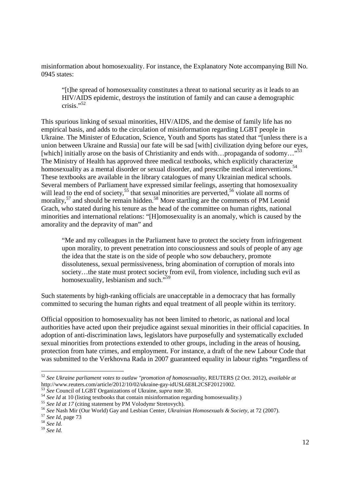misinformation about homosexuality. For instance, the Explanatory Note accompanying Bill No. 0945 states:

"[t]he spread of homosexuality constitutes a threat to national security as it leads to an HIV/AIDS epidemic, destroys the institution of family and can cause a demographic crisis."<sup>52</sup>

This spurious linking of sexual minorities, HIV/AIDS, and the demise of family life has no empirical basis, and adds to the circulation of misinformation regarding LGBT people in Ukraine. The Minister of Education, Science, Youth and Sports has stated that "[unless there is a union between Ukraine and Russia] our fate will be sad [with] civilization dying before our eyes, [which] initially arose on the basis of Christianity and ends with…propaganda of sodomy..."<sup>53</sup> The Ministry of Health has approved three medical textbooks, which explicitly characterize homosexuality as a mental disorder or sexual disorder, and prescribe medical interventions.<sup>54</sup> These textbooks are available in the library catalogues of many Ukrainian medical schools. Several members of Parliament have expressed similar feelings, asserting that homosexuality will lead to the end of society,<sup>55</sup> that sexual minorities are perverted,<sup>56</sup> violate all norms of morality, $57$  and should be remain hidden.<sup>58</sup> More startling are the comments of PM Leonid Grach, who stated during his tenure as the head of the committee on human rights, national minorities and international relations: "[H]omosexuality is an anomaly, which is caused by the amorality and the depravity of man" and

"Me and my colleagues in the Parliament have to protect the society from infringement upon morality, to prevent penetration into consciousness and souls of people of any age the idea that the state is on the side of people who sow debauchery, promote dissoluteness, sexual permissiveness, bring abomination of corruption of morals into society…the state must protect society from evil, from violence, including such evil as homosexuality, lesbianism and such."<sup>59</sup>

Such statements by high-ranking officials are unacceptable in a democracy that has formally committed to securing the human rights and equal treatment of all people within its territory.

Official opposition to homosexuality has not been limited to rhetoric, as national and local authorities have acted upon their prejudice against sexual minorities in their official capacities. In adoption of anti-discrimination laws, legislators have purposefully and systematically excluded sexual minorities from protections extended to other groups, including in the areas of housing, protection from hate crimes, and employment. For instance, a draft of the new Labour Code that was submitted to the Verkhovna Rada in 2007 guaranteed equality in labour rights "regardless of

<sup>52</sup> *See Ukraine parliament votes to outlaw "promotion of homosexuality*, REUTERS (2 Oct. 2012), *available at* http://www.reuters.com/article/2012/10/02/ukraine-gay-idUSL6E8L2CSF20121002.

<sup>53</sup> *See* Council of LGBT Organizations of Ukraine, *supra* note 30.

<sup>&</sup>lt;sup>54</sup> *See Id* at 10 (listing textbooks that contain misinformation regarding homosexuality.)

<sup>&</sup>lt;sup>55</sup> See Id at 17 (citing statement by PM Volodymr Stretovych).

<sup>56</sup> *See* Nash Mir (Our World) Gay and Lesbian Center, *Ukrainian Homosexuals & Society*, at 72 (2007).

<sup>57</sup> *See Id*, page 73

<sup>58</sup> *See Id.* 

<sup>59</sup> *See Id.*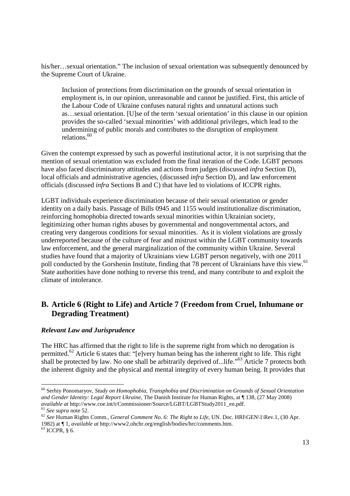his/her…sexual orientation." The inclusion of sexual orientation was subsequently denounced by the Supreme Court of Ukraine.

Inclusion of protections from discrimination on the grounds of sexual orientation in employment is, in our opinion, unreasonable and cannot be justified. First, this article of the Labour Code of Ukraine confuses natural rights and unnatural actions such as…sexual orientation. [U]se of the term 'sexual orientation' in this clause in our opinion provides the so-called 'sexual minorities' with additional privileges, which lead to the undermining of public morals and contributes to the disruption of employment relations.<sup>60</sup>

Given the contempt expressed by such as powerful institutional actor, it is not surprising that the mention of sexual orientation was excluded from the final iteration of the Code. LGBT persons have also faced discriminatory attitudes and actions from judges (discussed *infra* Section D), local officials and administrative agencies, (discussed *infra* Section D), and law enforcement officials (discussed *infra* Sections B and C) that have led to violations of ICCPR rights.

LGBT individuals experience discrimination because of their sexual orientation or gender identity on a daily basis. Passage of Bills 0945 and 1155 would institutionalize discrimination, reinforcing homophobia directed towards sexual minorities within Ukrainian society, legitimizing other human rights abuses by governmental and nongovernmental actors, and creating very dangerous conditions for sexual minorities. As it is violent violations are grossly underreported because of the culture of fear and mistrust within the LGBT community towards law enforcement, and the general marginalization of the community within Ukraine. Several studies have found that a majority of Ukrainians view LGBT person negatively, with one 2011 poll conducted by the Gorshenin Institute, finding that 78 percent of Ukrainians have this view.<sup>61</sup> State authorities have done nothing to reverse this trend, and many contribute to and exploit the climate of intolerance.

## **B. Article 6 (Right to Life) and Article 7 (Freedom from Cruel, Inhumane or Degrading Treatment)**

#### *Relevant Law and Jurisprudence*

The HRC has affirmed that the right to life is the supreme right from which no derogation is permitted.<sup>62</sup> Article 6 states that: "[e]very human being has the inherent right to life. This right shall be protected by law. No one shall be arbitrarily deprived of...life."<sup>63</sup> Article 7 protects both the inherent dignity and the physical and mental integrity of every human being. It provides that

<sup>-</sup><sup>60</sup> Serhiy Ponomaryov, *Study on Homophobia, Transphobia and Discrimination on Grounds of Sexual Orientation and Gender Identity: Legal Report Ukraine,* The Danish Institute for Human Rights, at ¶ 138, (27 May 2008) *available at* http://www.coe.int/t/Commissioner/Source/LGBT/LGBTStudy2011\_en.pdf.

<sup>61</sup> *See supra* note 52.

<sup>62</sup> *See* Human Rights Comm., *General Comment No. 6: The Right to Life*, UN. Doc. HRI\GEN\1\Rev.1, (30 Apr. 1982) at ¶ 1, *available at* http://www2.ohchr.org/english/bodies/hrc/comments.htm.

 $63$  ICCPR, § 6.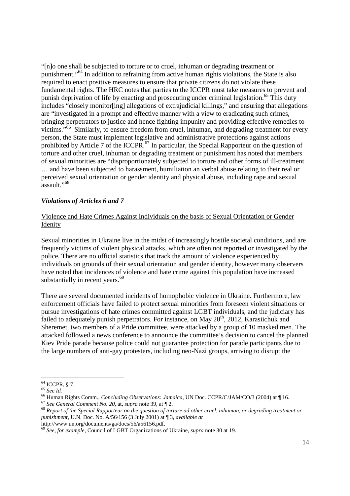"[n]o one shall be subjected to torture or to cruel, inhuman or degrading treatment or punishment."<sup>64</sup> In addition to refraining from active human rights violations, the State is also required to enact positive measures to ensure that private citizens do not violate these fundamental rights. The HRC notes that parties to the ICCPR must take measures to prevent and punish deprivation of life by enacting and prosecuting under criminal legislation.<sup>65</sup> This duty includes "closely monitor[ing] allegations of extrajudicial killings," and ensuring that allegations are "investigated in a prompt and effective manner with a view to eradicating such crimes, bringing perpetrators to justice and hence fighting impunity and providing effective remedies to victims."<sup>66</sup> Similarly, to ensure freedom from cruel, inhuman, and degrading treatment for every person, the State must implement legislative and administrative protections against actions prohibited by Article 7 of the ICCPR.<sup>67</sup> In particular, the Special Rapporteur on the question of torture and other cruel, inhuman or degrading treatment or punishment has noted that members of sexual minorities are "disproportionately subjected to torture and other forms of ill-treatment … and have been subjected to harassment, humiliation an verbal abuse relating to their real or perceived sexual orientation or gender identity and physical abuse, including rape and sexual  $\frac{1}{2}$ assault."<sup>68</sup>

#### *Violations of Articles 6 and 7*

#### Violence and Hate Crimes Against Individuals on the basis of Sexual Orientation or Gender Idenity

Sexual minorities in Ukraine live in the midst of increasingly hostile societal conditions, and are frequently victims of violent physical attacks, which are often not reported or investigated by the police. There are no official statistics that track the amount of violence experienced by individuals on grounds of their sexual orientation and gender identity, however many observers have noted that incidences of violence and hate crime against this population have increased substantially in recent years. $69$ 

There are several documented incidents of homophobic violence in Ukraine. Furthermore, law enforcement officials have failed to protect sexual minorities from foreseen violent situations or pursue investigations of hate crimes committed against LGBT individuals, and the judiciary has failed to adequately punish perpetrators. For instance, on May 20<sup>th</sup>, 2012, Karasiichuk and Sheremet, two members of a Pride committee, were attacked by a group of 10 masked men. The attacked followed a news conference to announce the committee's decision to cancel the planned Kiev Pride parade because police could not guarantee protection for parade participants due to the large numbers of anti-gay protesters, including neo-Nazi groups, arriving to disrupt the

-

http://www.un.org/documents/ga/docs/56/a56156.pdf.

 $64$  ICCPR, § 7.

<sup>65</sup> *See Id.*

<sup>66</sup> Human Rights Comm., *Concluding Observations: Jamaica*, UN Doc. CCPR/C/JAM/CO/3 (2004) at ¶ 16.

<sup>67</sup> *See General Comment No. 20,* at, *supra* note 39, at ¶ 2.

<sup>68</sup> *Report of the Special Rapporteur on the question of torture ad other cruel, inhuman, or degrading treatment or punishment*, U.N. Doc. No. A/56/156 (3 July 2001) at ¶ 3, *available at*

<sup>69</sup> *See, for example,* Council of LGBT Organizations of Ukraine, *supra* note 30 at 19.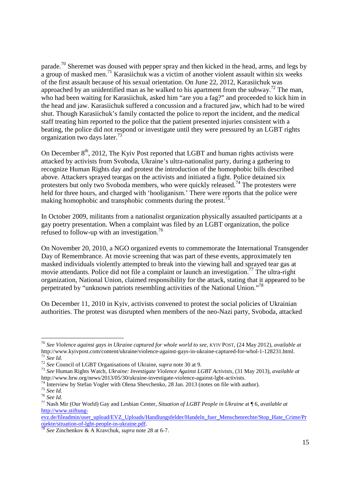parade.<sup>70</sup> Sheremet was doused with pepper spray and then kicked in the head, arms, and legs by a group of masked men.<sup>71</sup> Karasiichuk was a victim of another violent assault within six weeks of the first assault because of his sexual orientation. On June 22, 2012, Karasiichuk was approached by an unidentified man as he walked to his apartment from the subway.<sup>72</sup> The man, who had been waiting for Karasiichuk, asked him "are you a fag?" and proceeded to kick him in the head and jaw. Karasiichuk suffered a concussion and a fractured jaw, which had to be wired shut. Though Karasiichuk's family contacted the police to report the incident, and the medical staff treating him reported to the police that the patient presented injuries consistent with a beating, the police did not respond or investigate until they were pressured by an LGBT rights organization two days later.<sup>73</sup>

On December  $8<sup>th</sup>$ , 2012, The Kyiv Post reported that LGBT and human rights activists were attacked by activists from Svoboda, Ukraine's ultra-nationalist party, during a gathering to recognize Human Rights day and protest the introduction of the homophobic bills described above. Attackers sprayed teargas on the activists and initiated a fight. Police detained six protesters but only two Svoboda members, who were quickly released.<sup>74</sup> The protesters were held for three hours, and charged with 'hooliganism.' There were reports that the police were making homophobic and transphobic comments during the protest.<sup>75</sup>

In October 2009, militants from a nationalist organization physically assaulted participants at a gay poetry presentation. When a complaint was filed by an LGBT organization, the police refused to follow-up with an investigation. $76$ 

On November 20, 2010, a NGO organized events to commemorate the International Transgender Day of Remembrance. At movie screening that was part of these events, approximately ten masked individuals violently attempted to break into the viewing hall and sprayed tear gas at movie attendants. Police did not file a complaint or launch an investigation.<sup>77</sup> The ultra-right organization, National Union, claimed responsibility for the attack, stating that it appeared to be perpetrated by "unknown patriots resembling activities of the National Union."<sup>78</sup>

On December 11, 2010 in Kyiv, activists convened to protest the social policies of Ukrainian authorities. The protest was disrupted when members of the neo-Nazi party, Svoboda, attacked

<sup>70</sup> *See Violence against gays in Ukraine captured for whole world to see,* KYIV POST, (24 May 2012), *available at*  http://www.kyivpost.com/content/ukraine/violence-against-gays-in-ukraine-captured-for-whol-1-128231.html.  $71 \text{}$  See Id.

<sup>72</sup> *See* Council of LGBT Organisations of Ukraine, *supra* note 30 at 9.

<sup>73</sup> *See* Human Rights Watch, *Ukraine: Investigate Violence Against LGBT Activists*, (31 May 2013), *available at*  http://www.hrw.org/news/2013/05/30/ukraine-investigate-violence-against-lgbt-activists.

 $^{74}$  Interview by Stefan Vogler with Olena Shevchenko, 28 Jan. 2013 (notes on file with author).

<sup>75</sup> *See Id.*

<sup>76</sup> *See Id.* 

<sup>77</sup> Nash Mir (Our World) Gay and Lesbian Center, *Situation of LGBT People in Ukraine* at ¶ 6, *available at*  http://www.stiftung-

evz.de/fileadmin/user\_upload/EVZ\_Uploads/Handlungsfelder/Handeln\_fuer\_Menschenrechte/Stop\_Hate\_Crime/Pr ojekte/situation-of-lgbt-people-in-ukraine.pdf.

<sup>78</sup> *See* Zinchenkov & A Kravchuk, *supra* note 28 at 6-7.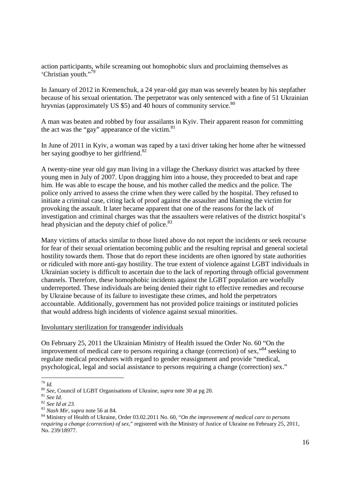action participants, while screaming out homophobic slurs and proclaiming themselves as 'Christian youth."<sup>79</sup>

In January of 2012 in Kremenchuk, a 24 year-old gay man was severely beaten by his stepfather because of his sexual orientation. The perpetrator was only sentenced with a fine of 51 Ukrainian hryvnias (approximately US \$5) and 40 hours of community service.<sup>80</sup>

A man was beaten and robbed by four assailants in Kyiv. Their apparent reason for committing the act was the "gay" appearance of the victim.<sup>81</sup>

In June of 2011 in Kyiv, a woman was raped by a taxi driver taking her home after he witnessed her saying goodbye to her girlfriend.<sup>82</sup>

A twenty-nine year old gay man living in a village the Cherkasy district was attacked by three young men in July of 2007. Upon dragging him into a house, they proceeded to beat and rape him. He was able to escape the house, and his mother called the medics and the police. The police only arrived to assess the crime when they were called by the hospital. They refused to initiate a criminal case, citing lack of proof against the assaulter and blaming the victim for provoking the assault. It later became apparent that one of the reasons for the lack of investigation and criminal charges was that the assaulters were relatives of the district hospital's head physician and the deputy chief of police.<sup>83</sup>

Many victims of attacks similar to those listed above do not report the incidents or seek recourse for fear of their sexual orientation becoming public and the resulting reprisal and general societal hostility towards them. Those that do report these incidents are often ignored by state authorities or ridiculed with more anti-gay hostility. The true extent of violence against LGBT individuals in Ukrainian society is difficult to ascertain due to the lack of reporting through official government channels. Therefore, these homophobic incidents against the LGBT population are woefully underreported. These individuals are being denied their right to effective remedies and recourse by Ukraine because of its failure to investigate these crimes, and hold the perpetrators accountable. Additionally, government has not provided police trainings or instituted policies that would address high incidents of violence against sexual minorities.

#### Involuntary sterilization for transgender individuals

On February 25, 2011 the Ukrainian Ministry of Health issued the Order No. 60 "On the improvement of medical care to persons requiring a change (correction) of sex,<sup> $34$ </sup> seeking to regulate medical procedures with regard to gender reassignment and provide "medical, psychological, legal and social assistance to persons requiring a change (correction) sex."

<sup>-</sup><sup>79</sup> *Id.*

<sup>80</sup> *See,* Council of LGBT Organisations of Ukraine, *supra* note 30 at pg 20.

<sup>81</sup> *See Id.* 

<sup>82</sup> *See Id at 23.*

<sup>83</sup> *Nash Mir, supra* note 56 at 84.

<sup>84</sup> Ministry of Health of Ukraine, Order 03.02.2011 No. 60, "*On the improvement of medical care to persons requiring a change (correction) of sex*," registered with the Ministry of Justice of Ukraine on February 25, 2011, No. 239/18977.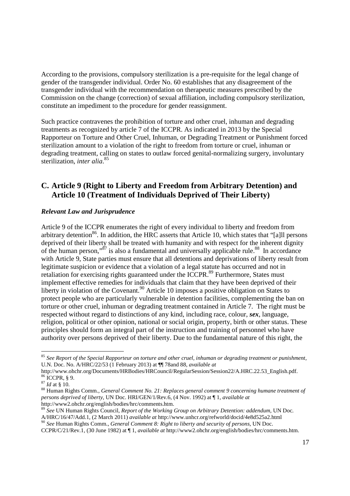According to the provisions, compulsory sterilization is a pre-requisite for the legal change of gender of the transgender individual. Order No. 60 establishes that any disagreement of the transgender individual with the recommendation on therapeutic measures prescribed by the Commission on the change (correction) of sexual affiliation, including compulsory sterilization, constitute an impediment to the procedure for gender reassignment.

Such practice contravenes the prohibition of torture and other cruel, inhuman and degrading treatments as recognized by article 7 of the ICCPR. As indicated in 2013 by the Special Rapporteur on Torture and Other Cruel, Inhuman, or Degrading Treatment or Punishment forced sterilization amount to a violation of the right to freedom from torture or cruel, inhuman or degrading treatment, calling on states to outlaw forced genital-normalizing surgery, involuntary sterilization, *inter alia*. 85

### **C. Article 9 (Right to Liberty and Freedom from Arbitrary Detention) and Article 10 (Treatment of Individuals Deprived of Their Liberty)**

#### *Relevant Law and Jurisprudence*

Article 9 of the ICCPR enumerates the right of every individual to liberty and freedom from arbitrary detention<sup>86</sup>. In addition, the HRC asserts that Article 10, which states that "[a]ll persons deprived of their liberty shall be treated with humanity and with respect for the inherent dignity of the human person," $\frac{87}{3}$  is also a fundamental and universally applicable rule.<sup>88</sup> In accordance with Article 9, State parties must ensure that all detentions and deprivations of liberty result from legitimate suspicion or evidence that a violation of a legal statute has occurred and not in retaliation for exercising rights guaranteed under the ICCPR.<sup>89</sup> Furthermore, States must implement effective remedies for individuals that claim that they have been deprived of their liberty in violation of the Covenant.<sup>90</sup> Article 10 imposes a positive obligation on States to protect people who are particularly vulnerable in detention facilities, complementing the ban on torture or other cruel, inhuman or degrading treatment contained in Article 7. The right must be respected without regard to distinctions of any kind, including race, colour, *sex*, language, religion, political or other opinion, national or social origin, property, birth or other status. These principles should form an integral part of the instruction and training of personnel who have authority over persons deprived of their liberty. Due to the fundamental nature of this right, the

-

<sup>90</sup> *See* Human Rights Comm., *General Comment 8: Right to liberty and security of persons*, UN Doc.

<sup>85</sup> *See Report of the Special Rapporteur on torture and other cruel, inhuman or degrading treatment or punishment*, U.N. Doc. No. A/HRC/22/53 (1 February 2013) at ¶¶ 78and 88, *available at*

http://www.ohchr.org/Documents/HRBodies/HRCouncil/RegularSession/Session22/A.HRC.22.53\_English.pdf.  $86$  ICCPR,  $\S$  9.

<sup>87</sup> *Id* at § 10.

<sup>88</sup> Human Rights Comm., *General Comment No. 21: Replaces general comment 9 concerning humane treatment of persons deprived of liberty*, UN Doc. HRI/GEN/1/Rev.6, (4 Nov. 1992) at ¶ 1, *available at* http://www2.ohchr.org/english/bodies/hrc/comments.htm.

<sup>89</sup> *See* UN Human Rights Council, *Report of the Working Group on Arbitrary Detention: addendum*, UN Doc. A/HRC/16/47/Add.1, (2 March 2011) *available at* http://www.unhcr.org/refworld/docid/4e8d525a2.html

CCPR/C/21/Rev.1, (30 June 1982) at ¶ 1, *available at* http://www2.ohchr.org/english/bodies/hrc/comments.htm.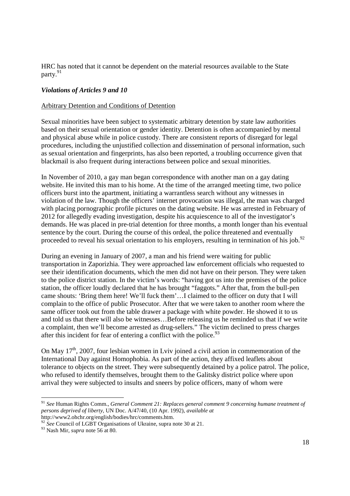HRC has noted that it cannot be dependent on the material resources available to the State party.<sup>91</sup>

#### *Violations of Articles 9 and 10*

#### Arbitrary Detention and Conditions of Detention

Sexual minorities have been subject to systematic arbitrary detention by state law authorities based on their sexual orientation or gender identity. Detention is often accompanied by mental and physical abuse while in police custody. There are consistent reports of disregard for legal procedures, including the unjustified collection and dissemination of personal information, such as sexual orientation and fingerprints, has also been reported, a troubling occurrence given that blackmail is also frequent during interactions between police and sexual minorities.

In November of 2010, a gay man began correspondence with another man on a gay dating website. He invited this man to his home. At the time of the arranged meeting time, two police officers burst into the apartment, initiating a warrantless search without any witnesses in violation of the law. Though the officers' internet provocation was illegal, the man was charged with placing pornographic profile pictures on the dating website. He was arrested in February of 2012 for allegedly evading investigation, despite his acquiescence to all of the investigator's demands. He was placed in pre-trial detention for three months, a month longer than his eventual sentence by the court. During the course of this ordeal, the police threatened and eventually proceeded to reveal his sexual orientation to his employers, resulting in termination of his job. $92$ 

During an evening in January of 2007, a man and his friend were waiting for public transportation in Zaporizhia. They were approached law enforcement officials who requested to see their identification documents, which the men did not have on their person. They were taken to the police district station. In the victim's words: "having got us into the premises of the police station, the officer loudly declared that he has brought "faggots." After that, from the bull-pen came shouts: 'Bring them here! We'll fuck them'…I claimed to the officer on duty that I will complain to the office of public Prosecutor. After that we were taken to another room where the same officer took out from the table drawer a package with white powder. He showed it to us and told us that there will also be witnesses…Before releasing us he reminded us that if we write a complaint, then we'll become arrested as drug-sellers." The victim declined to press charges after this incident for fear of entering a conflict with the police.<sup>93</sup>

On May  $17<sup>th</sup>$ , 2007, four lesbian women in Lviv joined a civil action in commemoration of the International Day against Homophobia. As part of the action, they affixed leaflets about tolerance to objects on the street. They were subsequently detained by a police patrol. The police, who refused to identify themselves, brought them to the Galitsky district police where upon arrival they were subjected to insults and sneers by police officers, many of whom were

<sup>91</sup> *See* Human Rights Comm., *General Comment 21: Replaces general comment 9 concerning humane treatment of persons deprived of liberty*, UN Doc. A/47/40, (10 Apr. 1992), *available at* http://www2.ohchr.org/english/bodies/hrc/comments.htm.

<sup>&</sup>lt;sup>92</sup> See Council of LGBT Organisations of Ukraine, supra note 30 at 21.

<sup>93</sup> Nash Mir, *supra* note 56 at 80.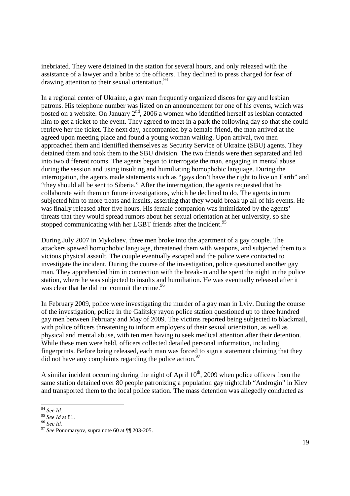inebriated. They were detained in the station for several hours, and only released with the assistance of a lawyer and a bribe to the officers. They declined to press charged for fear of drawing attention to their sexual orientation.<sup>94</sup>

In a regional center of Ukraine, a gay man frequently organized discos for gay and lesbian patrons. His telephone number was listed on an announcement for one of his events, which was posted on a website. On January  $2<sup>nd</sup>$ , 2006 a women who identified herself as lesbian contacted him to get a ticket to the event. They agreed to meet in a park the following day so that she could retrieve her the ticket. The next day, accompanied by a female friend, the man arrived at the agreed upon meeting place and found a young woman waiting. Upon arrival, two men approached them and identified themselves as Security Service of Ukraine (SBU) agents. They detained them and took them to the SBU division. The two friends were then separated and led into two different rooms. The agents began to interrogate the man, engaging in mental abuse during the session and using insulting and humiliating homophobic language. During the interrogation, the agents made statements such as "gays don't have the right to live on Earth" and "they should all be sent to Siberia." After the interrogation, the agents requested that he collaborate with them on future investigations, which he declined to do. The agents in turn subjected him to more treats and insults, asserting that they would break up all of his events. He was finally released after five hours. His female companion was intimidated by the agents' threats that they would spread rumors about her sexual orientation at her university, so she stopped communicating with her LGBT friends after the incident.<sup>95</sup>

During July 2007 in Mykolaev, three men broke into the apartment of a gay couple. The attackers spewed homophobic language, threatened them with weapons, and subjected them to a vicious physical assault. The couple eventually escaped and the police were contacted to investigate the incident. During the course of the investigation, police questioned another gay man. They apprehended him in connection with the break-in and he spent the night in the police station, where he was subjected to insults and humiliation. He was eventually released after it was clear that he did not commit the crime.<sup>96</sup>

In February 2009, police were investigating the murder of a gay man in Lviv. During the course of the investigation, police in the Galitsky rayon police station questioned up to three hundred gay men between February and May of 2009. The victims reported being subjected to blackmail, with police officers threatening to inform employers of their sexual orientation, as well as physical and mental abuse, with ten men having to seek medical attention after their detention. While these men were held, officers collected detailed personal information, including fingerprints. Before being released, each man was forced to sign a statement claiming that they did not have any complaints regarding the police action.<sup>97</sup>

A similar incident occurring during the night of April  $10<sup>th</sup>$ , 2009 when police officers from the same station detained over 80 people patronizing a population gay nightclub "Androgin" in Kiev and transported them to the local police station. The mass detention was allegedly conducted as

<sup>94</sup> *See Id.* 

<sup>95</sup> *See Id* at 81.

<sup>96</sup> *See Id.* 

<sup>97</sup> *See* Ponomaryov, supra note 60 at ¶¶ 203-205.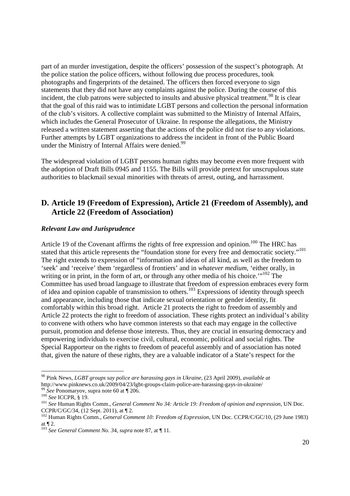part of an murder investigation, despite the officers' possession of the suspect's photograph. At the police station the police officers, without following due process procedures, took photographs and fingerprints of the detained. The officers then forced everyone to sign statements that they did not have any complaints against the police. During the course of this incident, the club patrons were subjected to insults and abusive physical treatment.<sup>98</sup> It is clear that the goal of this raid was to intimidate LGBT persons and collection the personal information of the club's visitors. A collective complaint was submitted to the Ministry of Internal Affairs, which includes the General Prosecutor of Ukraine. In response the allegations, the Ministry released a written statement asserting that the actions of the police did not rise to any violations. Further attempts by LGBT organizations to address the incident in front of the Public Board under the Ministry of Internal Affairs were denied.<sup>99</sup>

The widespread violation of LGBT persons human rights may become even more frequent with the adoption of Draft Bills 0945 and 1155. The Bills will provide pretext for unscrupulous state authorities to blackmail sexual minorities with threats of arrest, outing, and harrassment.

### **D. Article 19 (Freedom of Expression), Article 21 (Freedom of Assembly), and Article 22 (Freedom of Association)**

#### *Relevant Law and Jurisprudence*

Article 19 of the Covenant affirms the rights of free expression and opinion.<sup>100</sup> The HRC has stated that this article represents the "foundation stone for every free and democratic society."<sup>101</sup> The right extends to expression of "information and ideas of all kind, as well as the freedom to 'seek' and 'receive' them 'regardless of frontiers' and in *whatever medium*, 'either orally, in writing or in print, in the form of art, or through any other media of his choice.' $"102$  The Committee has used broad language to illustrate that freedom of expression embraces every form of idea and opinion capable of transmission to others.<sup>103</sup> Expressions of identity through speech and appearance, including those that indicate sexual orientation or gender identity, fit comfortably within this broad right. Article 21 protects the right to freedom of assembly and Article 22 protects the right to freedom of association. These rights protect an individual's ability to convene with others who have common interests so that each may engage in the collective pursuit, promotion and defense those interests. Thus, they are crucial in ensuring democracy and empowering individuals to exercise civil, cultural, economic, political and social rights. The Special Rapporteur on the rights to freedom of peaceful assembly and of association has noted that, given the nature of these rights, they are a valuable indicator of a State's respect for the

<sup>98</sup> Pink News, *LGBT groups say police are harassing gays in Ukraine*, (23 April 2009), *available at* http://www.pinknews.co.uk/2009/04/23/lgbt-groups-claim-police-are-harassing-gays-in-ukraine/

 $9 \text{ }$  See Ponomaryov, supra note 60 at  $\P$  206.

<sup>100</sup> *See* ICCPR, § 19.

<sup>101</sup> *See* Human Rights Comm., *General Comment No 34: Article 19: Freedom of opinion and expression*, UN Doc. CCPR/C/GC/34, (12 Sept. 2011), at ¶ 2.

<sup>102</sup> Human Rights Comm., *General Comment 10: Freedom of Expression*, UN Doc. CCPR/C/GC/10, (29 June 1983) at  $\P$  2.

<sup>103</sup> *See General Comment No. 3*4, *supra* note 87, at ¶ 11.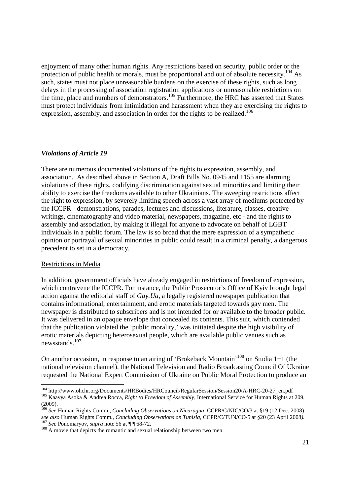enjoyment of many other human rights. Any restrictions based on security, public order or the protection of public health or morals, must be proportional and out of absolute necessity.<sup>104</sup> As such, states must not place unreasonable burdens on the exercise of these rights, such as long delays in the processing of association registration applications or unreasonable restrictions on the time, place and numbers of demonstrators.<sup>105</sup> Furthermore, the HRC has asserted that States must protect individuals from intimidation and harassment when they are exercising the rights to expression, assembly, and association in order for the rights to be realized.<sup>106</sup>

#### *Violations of Article 19*

There are numerous documented violations of the rights to expression, assembly, and association. As described above in Section A, Draft Bills No. 0945 and 1155 are alarming violations of these rights, codifying discrimination against sexual minorities and limiting their ability to exercise the freedoms available to other Ukrainians. The sweeping restrictions affect the right to expression, by severely limiting speech across a vast array of mediums protected by the ICCPR - demonstrations, parades, lectures and discussions, literature, classes, creative writings, cinematography and video material, newspapers, magazine, etc - and the rights to assembly and association, by making it illegal for anyone to advocate on behalf of LGBT individuals in a public forum. The law is so broad that the mere expression of a sympathetic opinion or portrayal of sexual minorities in public could result in a criminal penalty, a dangerous precedent to set in a democracy.

#### Restrictions in Media

-

In addition, government officials have already engaged in restrictions of freedom of expression, which contravene the ICCPR. For instance, the Public Prosecutor's Office of Kyiv brought legal action against the editorial staff of *Gay.Ua,* a legally registered newspaper publication that contains informational, entertainment, and erotic materials targeted towards gay men. The newspaper is distributed to subscribers and is not intended for or available to the broader public. It was delivered in an opaque envelope that concealed its contents. This suit, which contended that the publication violated the 'public morality,' was initiated despite the high visibility of erotic materials depicting heterosexual people, which are available public venues such as newsstands.<sup>107</sup>

On another occasion, in response to an airing of 'Brokeback Mountain'<sup>108</sup> on Studia 1+1 (the national television channel), the National Television and Radio Broadcasting Council Of Ukraine requested the National Expert Commission of Ukraine on Public Moral Protection to produce an

<sup>104</sup> http://www.ohchr.org/Documents/HRBodies/HRCouncil/RegularSession/Session20/A-HRC-20-27\_en.pdf <sup>105</sup> Kaavya Asoka & Andrea Rocca, *Right to Freedom of Assembly*, International Service for Human Rights at 209, (2009).

<sup>106</sup> *See* Human Rights Comm*., Concluding Observations on Nicaragua,* CCPR/C/NIC/CO/3 at §19 (12 Dec. 2008)*; see also* Human Rights Comm*., Concluding Observations on Tunisia,* CCPR/C/TUN/CO/5 at §20 (23 April 2008*).* <sup>107</sup> *See* Ponomaryov, *supra* note 56 at ¶ ¶ 68-72.

<sup>&</sup>lt;sup>108</sup> A movie that depicts the romantic and sexual relationship between two men.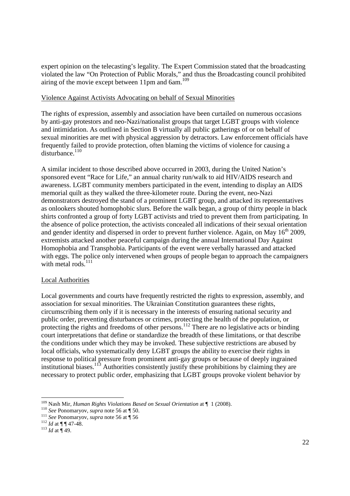expert opinion on the telecasting's legality. The Expert Commission stated that the broadcasting violated the law "On Protection of Public Morals," and thus the Broadcasting council prohibited airing of the movie except between  $11$ pm and  $6$ am.<sup>109</sup>

#### Violence Against Activists Advocating on behalf of Sexual Minorities

The rights of expression, assembly and association have been curtailed on numerous occasions by anti-gay protestors and neo-Nazi/nationalist groups that target LGBT groups with violence and intimidation. As outlined in Section B virtually all public gatherings of or on behalf of sexual minorities are met with physical aggression by detractors. Law enforcement officials have frequently failed to provide protection, often blaming the victims of violence for causing a  $disturbance.<sup>110</sup>$ 

A similar incident to those described above occurred in 2003, during the United Nation's sponsored event "Race for Life," an annual charity run/walk to aid HIV/AIDS research and awareness. LGBT community members participated in the event, intending to display an AIDS memorial quilt as they walked the three-kilometer route. During the event, neo-Nazi demonstrators destroyed the stand of a prominent LGBT group, and attacked its representatives as onlookers shouted homophobic slurs. Before the walk began, a group of thirty people in black shirts confronted a group of forty LGBT activists and tried to prevent them from participating. In the absence of police protection, the activists concealed all indications of their sexual orientation and gender identity and dispersed in order to prevent further violence. Again, on May 16<sup>th</sup> 2009, extremists attacked another peaceful campaign during the annual International Day Against Homophobia and Transphobia. Participants of the event were verbally harassed and attacked with eggs. The police only intervened when groups of people began to approach the campaigners with metal rods.<sup>111</sup>

#### Local Authorities

Local governments and courts have frequently restricted the rights to expression, assembly, and association for sexual minorities. The Ukrainian Constitution guarantees these rights, circumscribing them only if it is necessary in the interests of ensuring national security and public order, preventing disturbances or crimes, protecting the health of the population, or protecting the rights and freedoms of other persons.<sup>112</sup> There are no legislative acts or binding court interpretations that define or standardize the breadth of these limitations, or that describe the conditions under which they may be invoked. These subjective restrictions are abused by local officials, who systematically deny LGBT groups the ability to exercise their rights in response to political pressure from prominent anti-gay groups or because of deeply ingrained institutional biases.<sup>113</sup> Authorities consistently justify these prohibitions by claiming they are necessary to protect public order, emphasizing that LGBT groups provoke violent behavior by

<sup>109</sup> Nash Mir, *Human Rights Violations Based on Sexual Orientation* at ¶ 1 (2008).

<sup>110</sup> *See* Ponomaryov, *supra* note 56 at ¶ 50.

<sup>111</sup> *See* Ponomaryov, *supra* note 56 at ¶ 56

<sup>&</sup>lt;sup>112</sup> *Id* at ¶ ¶ 47-48.

 $^{113}$  *Id* at  $\frac{11}{49}$ .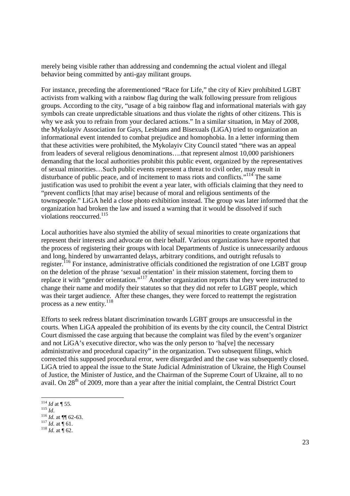merely being visible rather than addressing and condemning the actual violent and illegal behavior being committed by anti-gay militant groups.

For instance, preceding the aforementioned "Race for Life," the city of Kiev prohibited LGBT activists from walking with a rainbow flag during the walk following pressure from religious groups. According to the city, "usage of a big rainbow flag and informational materials with gay symbols can create unpredictable situations and thus violate the rights of other citizens. This is why we ask you to refrain from your declared actions." In a similar situation, in May of 2008, the Mykolayiv Association for Gays, Lesbians and Bisexuals (LiGA) tried to organization an informational event intended to combat prejudice and homophobia. In a letter informing them that these activities were prohibited, the Mykolayiv City Council stated "there was an appeal from leaders of several religious denominations….that represent almost 10,000 parishioners demanding that the local authorities prohibit this public event, organized by the representatives of sexual minorities…Such public events represent a threat to civil order, may result in disturbance of public peace, and of incitement to mass riots and conflicts."<sup>114</sup> The same justification was used to prohibit the event a year later, with officials claiming that they need to "prevent conflicts [that may arise] because of moral and religious sentiments of the townspeople." LiGA held a close photo exhibition instead. The group was later informed that the organization had broken the law and issued a warning that it would be dissolved if such violations reoccurred.<sup>115</sup>

Local authorities have also stymied the ability of sexual minorities to create organizations that represent their interests and advocate on their behalf. Various organizations have reported that the process of registering their groups with local Departments of Justice is unnecessarily arduous and long, hindered by unwarranted delays, arbitrary conditions, and outright refusals to register.<sup>116</sup> For instance, administrative officials conditioned the registration of one LGBT group on the deletion of the phrase 'sexual orientation' in their mission statement, forcing them to replace it with "gender orientation."<sup>117</sup> Another organization reports that they were instructed to change their name and modify their statutes so that they did not refer to LGBT people, which was their target audience. After these changes, they were forced to reattempt the registration process as a new entity.<sup>118</sup>

Efforts to seek redress blatant discrimination towards LGBT groups are unsuccessful in the courts. When LiGA appealed the prohibition of its events by the city council, the Central District Court dismissed the case arguing that because the complaint was filed by the event's organizer and not LiGA's executive director, who was the only person to 'ha[ve] the necessary administrative and procedural capacity" in the organization. Two subsequent filings, which corrected this supposed procedural error, were disregarded and the case was subsequently closed. LiGA tried to appeal the issue to the State Judicial Administration of Ukraine, the High Counsel of Justice, the Minister of Justice, and the Chairman of the Supreme Court of Ukraine, all to no avail. On  $28<sup>th</sup>$  of 2009, more than a year after the initial complaint, the Central District Court

 $\int_1^{117} \frac{\mu}{l} \, dt$  at  $\int_0^{\pi} 61$ .

<sup>-</sup> $^{114}$  *Id at* ¶ 55.

<sup>115</sup> *Id*.

<sup>116</sup> *Id.* at ¶¶ 62-63.

<sup>&</sup>lt;sup>118</sup> *Id.* at  $\int$  62.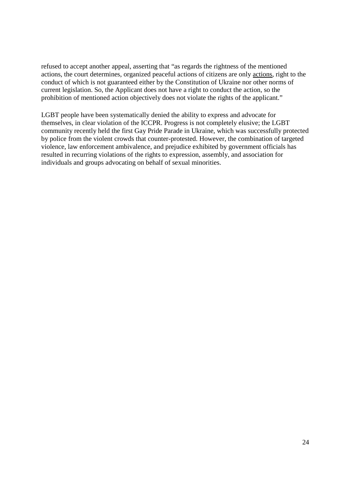refused to accept another appeal, asserting that "as regards the rightness of the mentioned actions, the court determines, organized peaceful actions of citizens are only actions, right to the conduct of which is not guaranteed either by the Constitution of Ukraine nor other norms of current legislation. So, the Applicant does not have a right to conduct the action, so the prohibition of mentioned action objectively does not violate the rights of the applicant."

LGBT people have been systematically denied the ability to express and advocate for themselves, in clear violation of the ICCPR. Progress is not completely elusive; the LGBT community recently held the first Gay Pride Parade in Ukraine, which was successfully protected by police from the violent crowds that counter-protested. However, the combination of targeted violence, law enforcement ambivalence, and prejudice exhibited by government officials has resulted in recurring violations of the rights to expression, assembly, and association for individuals and groups advocating on behalf of sexual minorities.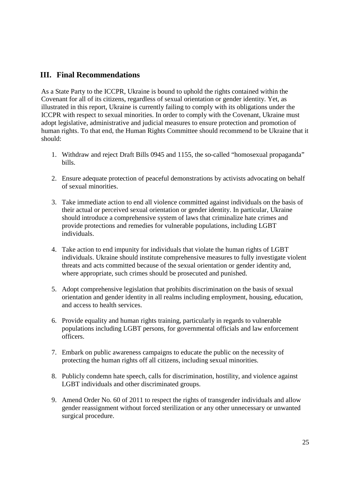### **III. Final Recommendations**

As a State Party to the ICCPR, Ukraine is bound to uphold the rights contained within the Covenant for all of its citizens, regardless of sexual orientation or gender identity. Yet, as illustrated in this report, Ukraine is currently failing to comply with its obligations under the ICCPR with respect to sexual minorities. In order to comply with the Covenant, Ukraine must adopt legislative, administrative and judicial measures to ensure protection and promotion of human rights. To that end, the Human Rights Committee should recommend to be Ukraine that it should:

- 1. Withdraw and reject Draft Bills 0945 and 1155, the so-called "homosexual propaganda" bills.
- 2. Ensure adequate protection of peaceful demonstrations by activists advocating on behalf of sexual minorities.
- 3. Take immediate action to end all violence committed against individuals on the basis of their actual or perceived sexual orientation or gender identity. In particular, Ukraine should introduce a comprehensive system of laws that criminalize hate crimes and provide protections and remedies for vulnerable populations, including LGBT individuals.
- 4. Take action to end impunity for individuals that violate the human rights of LGBT individuals. Ukraine should institute comprehensive measures to fully investigate violent threats and acts committed because of the sexual orientation or gender identity and, where appropriate, such crimes should be prosecuted and punished.
- 5. Adopt comprehensive legislation that prohibits discrimination on the basis of sexual orientation and gender identity in all realms including employment, housing, education, and access to health services.
- 6. Provide equality and human rights training, particularly in regards to vulnerable populations including LGBT persons, for governmental officials and law enforcement officers.
- 7. Embark on public awareness campaigns to educate the public on the necessity of protecting the human rights off all citizens, including sexual minorities.
- 8. Publicly condemn hate speech, calls for discrimination, hostility, and violence against LGBT individuals and other discriminated groups.
- 9. Amend Order No. 60 of 2011 to respect the rights of transgender individuals and allow gender reassignment without forced sterilization or any other unnecessary or unwanted surgical procedure.